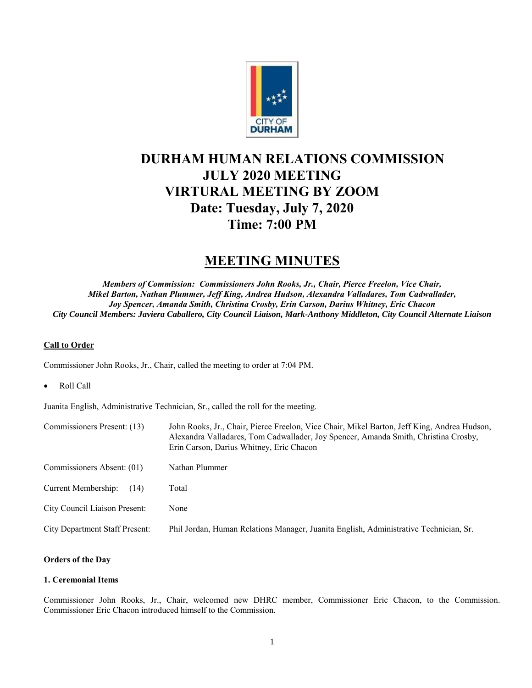

# **DURHAM HUMAN RELATIONS COMMISSION JULY 2020 MEETING VIRTURAL MEETING BY ZOOM Date: Tuesday, July 7, 2020 Time: 7:00 PM**

## **MEETING MINUTES**

*Members of Commission: Commissioners John Rooks, Jr., Chair, Pierce Freelon, Vice Chair, Mikel Barton, Nathan Plummer, Jeff King, Andrea Hudson, Alexandra Valladares, Tom Cadwallader, Joy Spencer, Amanda Smith, Christina Crosby, Erin Carson, Darius Whitney, Eric Chacon City Council Members: Javiera Caballero, City Council Liaison, Mark-Anthony Middleton, City Council Alternate Liaison*

## **Call to Order**

Commissioner John Rooks, Jr., Chair, called the meeting to order at 7:04 PM.

Roll Call

Juanita English, Administrative Technician, Sr., called the roll for the meeting.

| Commissioners Present: (13)           | John Rooks, Jr., Chair, Pierce Freelon, Vice Chair, Mikel Barton, Jeff King, Andrea Hudson,<br>Alexandra Valladares, Tom Cadwallader, Joy Spencer, Amanda Smith, Christina Crosby,<br>Erin Carson, Darius Whitney, Eric Chacon |
|---------------------------------------|--------------------------------------------------------------------------------------------------------------------------------------------------------------------------------------------------------------------------------|
| Commissioners Absent: (01)            | Nathan Plummer                                                                                                                                                                                                                 |
| Current Membership:<br>(14)           | Total                                                                                                                                                                                                                          |
| City Council Liaison Present:         | None                                                                                                                                                                                                                           |
| <b>City Department Staff Present:</b> | Phil Jordan, Human Relations Manager, Juanita English, Administrative Technician, Sr.                                                                                                                                          |

## **Orders of the Day**

#### **1. Ceremonial Items**

Commissioner John Rooks, Jr., Chair, welcomed new DHRC member, Commissioner Eric Chacon, to the Commission. Commissioner Eric Chacon introduced himself to the Commission.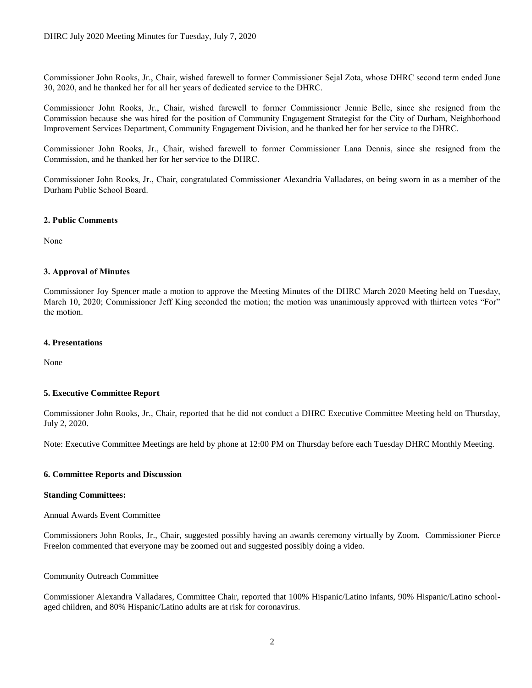Commissioner John Rooks, Jr., Chair, wished farewell to former Commissioner Sejal Zota, whose DHRC second term ended June 30, 2020, and he thanked her for all her years of dedicated service to the DHRC.

Commissioner John Rooks, Jr., Chair, wished farewell to former Commissioner Jennie Belle, since she resigned from the Commission because she was hired for the position of Community Engagement Strategist for the City of Durham, Neighborhood Improvement Services Department, Community Engagement Division, and he thanked her for her service to the DHRC.

Commissioner John Rooks, Jr., Chair, wished farewell to former Commissioner Lana Dennis, since she resigned from the Commission, and he thanked her for her service to the DHRC.

Commissioner John Rooks, Jr., Chair, congratulated Commissioner Alexandria Valladares, on being sworn in as a member of the Durham Public School Board.

#### **2. Public Comments**

None

### **3. Approval of Minutes**

Commissioner Joy Spencer made a motion to approve the Meeting Minutes of the DHRC March 2020 Meeting held on Tuesday, March 10, 2020; Commissioner Jeff King seconded the motion; the motion was unanimously approved with thirteen votes "For" the motion.

#### **4. Presentations**

None

#### **5. Executive Committee Report**

Commissioner John Rooks, Jr., Chair, reported that he did not conduct a DHRC Executive Committee Meeting held on Thursday, July 2, 2020.

Note: Executive Committee Meetings are held by phone at 12:00 PM on Thursday before each Tuesday DHRC Monthly Meeting.

#### **6. Committee Reports and Discussion**

#### **Standing Committees:**

Annual Awards Event Committee

Commissioners John Rooks, Jr., Chair, suggested possibly having an awards ceremony virtually by Zoom. Commissioner Pierce Freelon commented that everyone may be zoomed out and suggested possibly doing a video.

#### Community Outreach Committee

Commissioner Alexandra Valladares, Committee Chair, reported that 100% Hispanic/Latino infants, 90% Hispanic/Latino schoolaged children, and 80% Hispanic/Latino adults are at risk for coronavirus.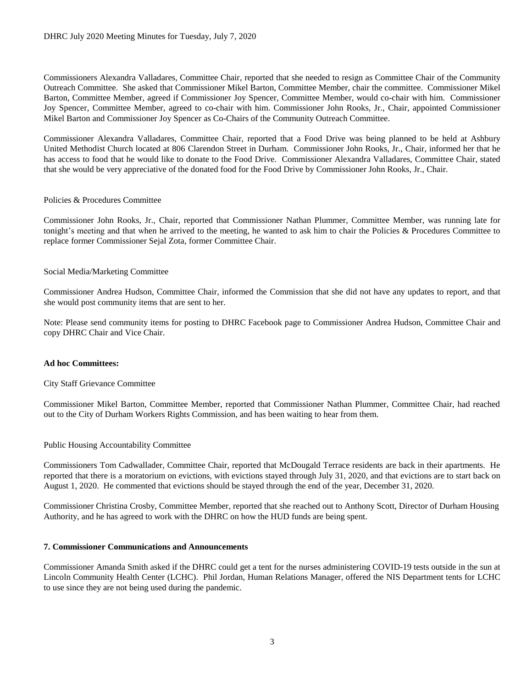Commissioners Alexandra Valladares, Committee Chair, reported that she needed to resign as Committee Chair of the Community Outreach Committee. She asked that Commissioner Mikel Barton, Committee Member, chair the committee. Commissioner Mikel Barton, Committee Member, agreed if Commissioner Joy Spencer, Committee Member, would co-chair with him. Commissioner Joy Spencer, Committee Member, agreed to co-chair with him. Commissioner John Rooks, Jr., Chair, appointed Commissioner Mikel Barton and Commissioner Joy Spencer as Co-Chairs of the Community Outreach Committee.

Commissioner Alexandra Valladares, Committee Chair, reported that a Food Drive was being planned to be held at Ashbury United Methodist Church located at 806 Clarendon Street in Durham. Commissioner John Rooks, Jr., Chair, informed her that he has access to food that he would like to donate to the Food Drive. Commissioner Alexandra Valladares, Committee Chair, stated that she would be very appreciative of the donated food for the Food Drive by Commissioner John Rooks, Jr., Chair.

#### Policies & Procedures Committee

Commissioner John Rooks, Jr., Chair, reported that Commissioner Nathan Plummer, Committee Member, was running late for tonight's meeting and that when he arrived to the meeting, he wanted to ask him to chair the Policies & Procedures Committee to replace former Commissioner Sejal Zota, former Committee Chair.

#### Social Media/Marketing Committee

Commissioner Andrea Hudson, Committee Chair, informed the Commission that she did not have any updates to report, and that she would post community items that are sent to her.

Note: Please send community items for posting to DHRC Facebook page to Commissioner Andrea Hudson, Committee Chair and copy DHRC Chair and Vice Chair.

#### **Ad hoc Committees:**

#### City Staff Grievance Committee

Commissioner Mikel Barton, Committee Member, reported that Commissioner Nathan Plummer, Committee Chair, had reached out to the City of Durham Workers Rights Commission, and has been waiting to hear from them.

## Public Housing Accountability Committee

Commissioners Tom Cadwallader, Committee Chair, reported that McDougald Terrace residents are back in their apartments. He reported that there is a moratorium on evictions, with evictions stayed through July 31, 2020, and that evictions are to start back on August 1, 2020. He commented that evictions should be stayed through the end of the year, December 31, 2020.

Commissioner Christina Crosby, Committee Member, reported that she reached out to Anthony Scott, Director of Durham Housing Authority, and he has agreed to work with the DHRC on how the HUD funds are being spent.

#### **7. Commissioner Communications and Announcements**

Commissioner Amanda Smith asked if the DHRC could get a tent for the nurses administering COVID-19 tests outside in the sun at Lincoln Community Health Center (LCHC). Phil Jordan, Human Relations Manager, offered the NIS Department tents for LCHC to use since they are not being used during the pandemic.